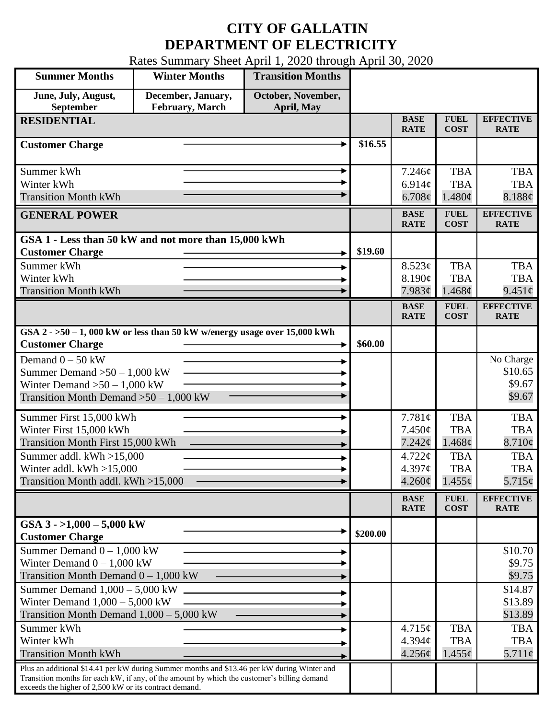## **CITY OF GALLATIN DEPARTMENT OF ELECTRICITY**

Rates Summary Sheet April 1, 2020 through April 30, 2020

| <b>Summer Months</b>                                                                                                                                                                                                                                 | <b>Winter Months</b>                  | <b>Transition Months</b>         |          |                                              |                                         |                                          |
|------------------------------------------------------------------------------------------------------------------------------------------------------------------------------------------------------------------------------------------------------|---------------------------------------|----------------------------------|----------|----------------------------------------------|-----------------------------------------|------------------------------------------|
| June, July, August,<br>September                                                                                                                                                                                                                     | December, January,<br>February, March | October, November,<br>April, May |          |                                              |                                         |                                          |
| <b>RESIDENTIAL</b>                                                                                                                                                                                                                                   |                                       |                                  |          | <b>BASE</b><br><b>RATE</b>                   | <b>FUEL</b><br><b>COST</b>              | <b>EFFECTIVE</b><br><b>RATE</b>          |
| <b>Customer Charge</b>                                                                                                                                                                                                                               |                                       |                                  | \$16.55  |                                              |                                         |                                          |
| Summer kWh<br>Winter kWh<br><b>Transition Month kWh</b>                                                                                                                                                                                              |                                       |                                  |          | 7.246¢<br>6.914c<br>$6.708\phi$              | <b>TBA</b><br><b>TBA</b><br>1.480¢      | <b>TBA</b><br><b>TBA</b><br>8.188¢       |
| <b>GENERAL POWER</b>                                                                                                                                                                                                                                 |                                       |                                  |          | <b>BASE</b><br><b>RATE</b>                   | <b>FUEL</b><br><b>COST</b>              | <b>EFFECTIVE</b><br><b>RATE</b>          |
| GSA 1 - Less than 50 kW and not more than 15,000 kWh<br><b>Customer Charge</b>                                                                                                                                                                       |                                       |                                  | \$19.60  |                                              |                                         |                                          |
| Summer kWh<br>Winter kWh<br><b>Transition Month kWh</b>                                                                                                                                                                                              |                                       |                                  |          | 8.523¢<br>8.190¢<br>7.983¢                   | <b>TBA</b><br><b>TBA</b><br>1.468¢      | <b>TBA</b><br><b>TBA</b><br>$9.451\phi$  |
|                                                                                                                                                                                                                                                      |                                       |                                  |          | <b>BASE</b><br><b>RATE</b>                   | <b>FUEL</b><br><b>COST</b>              | <b>EFFECTIVE</b><br><b>RATE</b>          |
| GSA $2 - 50 - 1$ , 000 kW or less than 50 kW w/energy usage over 15,000 kWh<br><b>Customer Charge</b>                                                                                                                                                |                                       |                                  | \$60.00  |                                              |                                         |                                          |
| Demand $0 - 50$ kW<br>Summer Demand $>50-1,000$ kW<br>Winter Demand $>50-1,000$ kW<br>Transition Month Demand $>50-1,000$ kW                                                                                                                         |                                       |                                  |          |                                              |                                         | No Charge<br>\$10.65<br>\$9.67<br>\$9.67 |
| Summer First 15,000 kWh<br>Winter First 15,000 kWh<br>Transition Month First 15,000 kWh                                                                                                                                                              |                                       |                                  |          | 7.781¢<br>7.450¢<br>7.242¢                   | <b>TBA</b><br><b>TBA</b><br>1.468c      | <b>TBA</b><br><b>TBA</b><br>8.710¢       |
| Summer addl. $kWh > 15,000$<br>Winter addl. $kWh > 15,000$<br>Transition Month addl. kWh >15,000                                                                                                                                                     |                                       |                                  |          | $4.722 \mathcal{C}$<br>4.397¢<br>$4.260\phi$ | <b>TBA</b><br><b>TBA</b><br>$1.455\phi$ | <b>TBA</b><br><b>TBA</b><br>5.715¢       |
|                                                                                                                                                                                                                                                      |                                       |                                  |          | <b>BASE</b><br><b>RATE</b>                   | <b>FUEL</b><br><b>COST</b>              | <b>EFFECTIVE</b><br><b>RATE</b>          |
| GSA $3 - 1,000 - 5,000$ kW<br><b>Customer Charge</b>                                                                                                                                                                                                 |                                       |                                  | \$200.00 |                                              |                                         |                                          |
| Summer Demand $0 - 1,000$ kW<br>Winter Demand $0 - 1,000$ kW<br>Transition Month Demand $0 - 1,000$ kW                                                                                                                                               |                                       |                                  |          |                                              |                                         | \$10.70<br>\$9.75<br>\$9.75              |
| Summer Demand $1,000 - 5,000$ kW<br>Winter Demand $1,000 - 5,000$ kW<br>Transition Month Demand $1,000 - 5,000$ kW                                                                                                                                   |                                       |                                  |          |                                              |                                         | \$14.87<br>\$13.89<br>\$13.89            |
| Summer kWh<br>Winter kWh<br><b>Transition Month kWh</b>                                                                                                                                                                                              |                                       |                                  |          | 4.715¢<br>4.394c<br>4.256¢                   | <b>TBA</b><br><b>TBA</b><br>$1.455\phi$ | <b>TBA</b><br><b>TBA</b><br>$5.711\phi$  |
| Plus an additional \$14.41 per kW during Summer months and \$13.46 per kW during Winter and<br>Transition months for each kW, if any, of the amount by which the customer's billing demand<br>exceeds the higher of 2,500 kW or its contract demand. |                                       |                                  |          |                                              |                                         |                                          |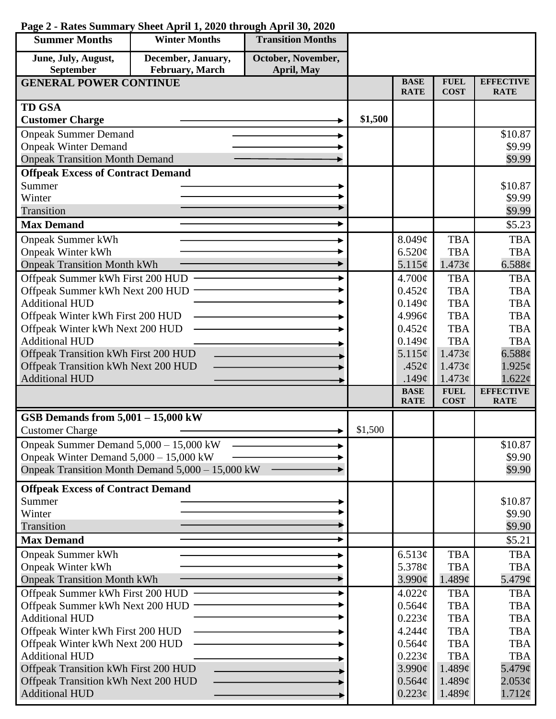| <b>Summer Months</b>                                                | <b>Winter Months</b>                             | <b>Transition Months</b> |         |                              |                            |                                 |
|---------------------------------------------------------------------|--------------------------------------------------|--------------------------|---------|------------------------------|----------------------------|---------------------------------|
| June, July, August,                                                 | December, January,                               | October, November,       |         |                              |                            |                                 |
| September                                                           | February, March                                  | April, May               |         |                              |                            |                                 |
| <b>GENERAL POWER CONTINUE</b>                                       |                                                  |                          |         | <b>BASE</b><br><b>RATE</b>   | <b>FUEL</b><br><b>COST</b> | <b>EFFECTIVE</b><br><b>RATE</b> |
| <b>TD GSA</b>                                                       |                                                  |                          |         |                              |                            |                                 |
| <b>Customer Charge</b>                                              |                                                  |                          | \$1,500 |                              |                            |                                 |
| <b>Onpeak Summer Demand</b>                                         |                                                  |                          |         |                              |                            | \$10.87                         |
| <b>Onpeak Winter Demand</b>                                         |                                                  |                          |         |                              |                            | \$9.99                          |
| <b>Onpeak Transition Month Demand</b>                               |                                                  |                          |         |                              |                            | \$9.99                          |
| <b>Offpeak Excess of Contract Demand</b>                            |                                                  |                          |         |                              |                            |                                 |
| Summer                                                              |                                                  |                          |         |                              |                            | \$10.87                         |
| Winter<br>Transition                                                |                                                  |                          |         |                              |                            | \$9.99<br>\$9.99                |
|                                                                     |                                                  |                          |         |                              |                            | \$5.23                          |
| <b>Max Demand</b>                                                   |                                                  |                          |         |                              |                            |                                 |
| <b>Onpeak Summer kWh</b>                                            |                                                  |                          |         | 8.049¢                       | <b>TBA</b>                 | <b>TBA</b>                      |
| <b>Onpeak Winter kWh</b>                                            |                                                  |                          |         | 6.520¢<br>5.115¢             | <b>TBA</b><br>1.473¢       | <b>TBA</b><br>6.588¢            |
| <b>Onpeak Transition Month kWh</b>                                  |                                                  |                          |         |                              |                            |                                 |
| Offpeak Summer kWh First 200 HUD<br>Offpeak Summer kWh Next 200 HUD |                                                  |                          |         | 4.700¢<br>$0.452\mathcal{C}$ | <b>TBA</b><br><b>TBA</b>   | <b>TBA</b><br><b>TBA</b>        |
| <b>Additional HUD</b>                                               |                                                  |                          |         | 0.149¢                       | <b>TBA</b>                 | <b>TBA</b>                      |
| Offpeak Winter kWh First 200 HUD                                    |                                                  |                          |         | 4.996¢                       | <b>TBA</b>                 | <b>TBA</b>                      |
| Offpeak Winter kWh Next 200 HUD                                     |                                                  |                          |         | 0.452¢                       | <b>TBA</b>                 | <b>TBA</b>                      |
| <b>Additional HUD</b>                                               |                                                  |                          |         | 0.149¢                       | <b>TBA</b>                 | <b>TBA</b>                      |
| Offpeak Transition kWh First 200 HUD                                |                                                  |                          |         | 5.115¢                       | $1.473\phi$                | 6.588¢                          |
| Offpeak Transition kWh Next 200 HUD                                 |                                                  |                          |         | .452 $\phi$                  | 1.473¢                     | $1.925\phi$                     |
| <b>Additional HUD</b>                                               |                                                  |                          |         | .149 $\mathfrak{c}$          | $1.473\phi$                | 1.622¢                          |
|                                                                     |                                                  |                          |         | <b>BASE</b><br><b>RATE</b>   | <b>FUEL</b><br><b>COST</b> | <b>EFFECTIVE</b><br><b>RATE</b> |
| GSB Demands from $5,001 - 15,000$ kW                                |                                                  |                          |         |                              |                            |                                 |
| <b>Customer Charge</b>                                              |                                                  |                          | \$1,500 |                              |                            |                                 |
| Onpeak Summer Demand 5,000 - 15,000 kW                              |                                                  |                          |         |                              |                            | \$10.87                         |
| Onpeak Winter Demand $5,000 - 15,000$ kW                            |                                                  |                          |         |                              |                            | \$9.90                          |
|                                                                     | Onpeak Transition Month Demand 5,000 - 15,000 kW |                          |         |                              |                            | \$9.90                          |
| <b>Offpeak Excess of Contract Demand</b>                            |                                                  |                          |         |                              |                            |                                 |
| Summer                                                              |                                                  |                          |         |                              |                            | \$10.87                         |
| Winter                                                              |                                                  |                          |         |                              |                            | \$9.90                          |
| Transition                                                          |                                                  |                          |         |                              |                            | \$9.90                          |
| <b>Max Demand</b>                                                   |                                                  |                          |         |                              |                            | \$5.21                          |
| <b>Onpeak Summer kWh</b>                                            |                                                  |                          |         | 6.513¢                       | <b>TBA</b>                 | <b>TBA</b>                      |
| <b>Onpeak Winter kWh</b>                                            |                                                  |                          |         | 5.378¢                       | <b>TBA</b>                 | <b>TBA</b>                      |
| <b>Onpeak Transition Month kWh</b>                                  |                                                  |                          |         | $3.990\phi$                  | $1.489\mathcal{C}$         | 5.479¢                          |
| Offpeak Summer kWh First 200 HUD                                    |                                                  |                          |         | 4.022¢                       | <b>TBA</b>                 | <b>TBA</b>                      |
| Offpeak Summer kWh Next 200 HUD                                     |                                                  |                          | 0.564¢  | <b>TBA</b>                   | <b>TBA</b>                 |                                 |
| <b>Additional HUD</b>                                               |                                                  |                          |         | $0.223\phi$                  | <b>TBA</b>                 | <b>TBA</b>                      |
| Offpeak Winter kWh First 200 HUD                                    |                                                  |                          |         | 4.244¢                       | <b>TBA</b><br><b>TBA</b>   | <b>TBA</b>                      |
| Offpeak Winter kWh Next 200 HUD<br><b>Additional HUD</b>            |                                                  |                          |         | 0.564¢<br>0.223¢             | <b>TBA</b>                 | <b>TBA</b><br><b>TBA</b>        |
| Offpeak Transition kWh First 200 HUD                                |                                                  |                          |         | 3.990¢                       | 1.489¢                     | 5.479¢                          |
| Offpeak Transition kWh Next 200 HUD                                 |                                                  |                          |         | 0.564¢                       | 1.489¢                     | 2.053¢                          |
| <b>Additional HUD</b>                                               |                                                  |                          |         | $0.223\phi$                  | 1.489¢                     | 1.712¢                          |
|                                                                     |                                                  |                          |         |                              |                            |                                 |

## **Page 2 - Rates Summary Sheet April 1, 2020 through April 30, 2020**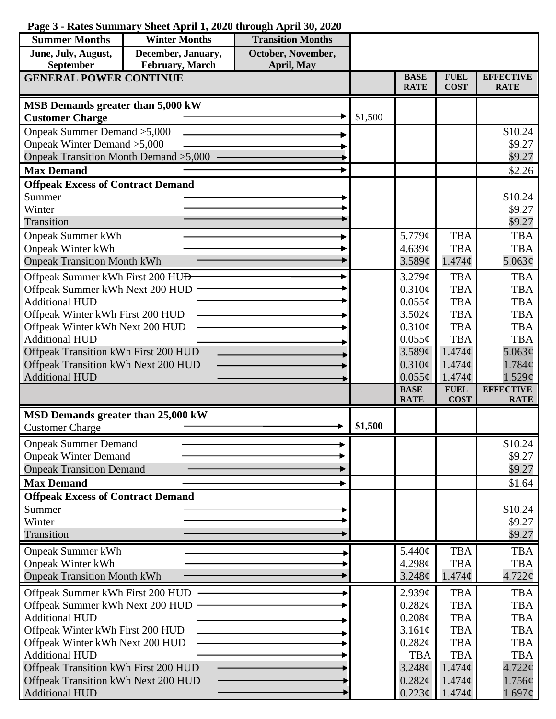## **Page 3 - Rates Summary Sheet April 1, 2020 through April 30, 2020**

| <b>Summer Months</b>                                         | <b>Winter Months</b> | <b>Transition Months</b> |         |                            |                                   |                                 |
|--------------------------------------------------------------|----------------------|--------------------------|---------|----------------------------|-----------------------------------|---------------------------------|
| June, July, August,                                          | December, January,   | October, November,       |         |                            |                                   |                                 |
| February, March<br>September<br>April, May                   |                      |                          |         |                            |                                   |                                 |
| <b>GENERAL POWER CONTINUE</b>                                |                      |                          |         | <b>BASE</b><br><b>RATE</b> | <b>FUEL</b><br><b>COST</b>        | <b>EFFECTIVE</b><br><b>RATE</b> |
| MSB Demands greater than 5,000 kW                            |                      |                          |         |                            |                                   |                                 |
| <b>Customer Charge</b>                                       |                      |                          | \$1,500 |                            |                                   |                                 |
| Onpeak Summer Demand > 5,000                                 |                      |                          |         |                            |                                   | \$10.24                         |
| Onpeak Winter Demand > 5,000                                 |                      |                          |         |                            |                                   | \$9.27                          |
| Onpeak Transition Month Demand > 5,000                       |                      |                          |         |                            |                                   | \$9.27                          |
| <b>Max Demand</b>                                            |                      |                          |         |                            |                                   | \$2.26                          |
| <b>Offpeak Excess of Contract Demand</b>                     |                      |                          |         |                            |                                   |                                 |
| Summer                                                       |                      |                          |         |                            |                                   | \$10.24                         |
| Winter                                                       |                      |                          |         |                            |                                   | \$9.27                          |
| Transition                                                   |                      |                          |         |                            |                                   | \$9.27                          |
| <b>Onpeak Summer kWh</b>                                     |                      |                          |         | 5.779 $\phi$               | <b>TBA</b>                        | <b>TBA</b>                      |
| <b>Onpeak Winter kWh</b>                                     |                      |                          |         | 4.639¢                     | <b>TBA</b>                        | <b>TBA</b>                      |
| <b>Onpeak Transition Month kWh</b>                           |                      |                          |         | 3.589¢                     | $1.474\mathcal{C}$                | 5.063¢                          |
| Offpeak Summer kWh First 200 HU <del>D</del>                 |                      |                          |         | 3.279¢                     | <b>TBA</b>                        | <b>TBA</b>                      |
| Offpeak Summer kWh Next 200 HUD                              |                      |                          |         | 0.310¢                     | <b>TBA</b>                        | <b>TBA</b>                      |
| <b>Additional HUD</b>                                        |                      |                          |         | $0.055\phi$                | <b>TBA</b>                        | <b>TBA</b>                      |
| Offpeak Winter kWh First 200 HUD                             |                      |                          |         | 3.502¢                     | <b>TBA</b>                        | <b>TBA</b>                      |
| Offpeak Winter kWh Next 200 HUD                              |                      |                          |         | 0.310¢                     | <b>TBA</b>                        | <b>TBA</b>                      |
| <b>Additional HUD</b>                                        |                      |                          |         | $0.055\phi$                | <b>TBA</b>                        | <b>TBA</b>                      |
| Offpeak Transition kWh First 200 HUD                         |                      |                          |         | 3.589¢<br>0.310¢           | $1.474\mathcal{C}$<br>$1.474\phi$ | 5.063¢<br>1.784¢                |
| Offpeak Transition kWh Next 200 HUD<br><b>Additional HUD</b> |                      |                          |         | $0.055\phi$                | $1.474\phi$                       | 1.529¢                          |
|                                                              |                      |                          |         | <b>BASE</b>                | <b>FUEL</b>                       | <b>EFFECTIVE</b>                |
|                                                              |                      |                          |         | <b>RATE</b>                | <b>COST</b>                       | <b>RATE</b>                     |
| MSD Demands greater than 25,000 kW                           |                      |                          |         |                            |                                   |                                 |
| <b>Customer Charge</b>                                       |                      |                          | \$1,500 |                            |                                   |                                 |
| <b>Onpeak Summer Demand</b>                                  |                      |                          |         |                            |                                   | \$10.24                         |
| <b>Onpeak Winter Demand</b>                                  |                      |                          |         |                            |                                   | \$9.27                          |
| <b>Onpeak Transition Demand</b>                              |                      |                          |         |                            |                                   | \$9.27                          |
| <b>Max Demand</b>                                            |                      |                          |         |                            |                                   | \$1.64                          |
| <b>Offpeak Excess of Contract Demand</b>                     |                      |                          |         |                            |                                   |                                 |
| Summer                                                       |                      |                          |         |                            |                                   | \$10.24                         |
| Winter                                                       |                      |                          |         |                            |                                   | \$9.27                          |
| Transition                                                   |                      |                          |         |                            |                                   | \$9.27                          |
| <b>Onpeak Summer kWh</b>                                     |                      |                          |         | 5.440¢                     | <b>TBA</b>                        | <b>TBA</b>                      |
| <b>Onpeak Winter kWh</b>                                     |                      |                          |         | 4.298c                     | <b>TBA</b>                        | <b>TBA</b>                      |
| <b>Onpeak Transition Month kWh</b>                           |                      |                          |         | 3.248¢                     | $1.474\mathcal{C}$                | $4.722$ ¢                       |
| Offpeak Summer kWh First 200 HUD                             |                      |                          |         | $2.939\mathcal{C}$         | <b>TBA</b>                        | <b>TBA</b>                      |
| Offpeak Summer kWh Next 200 HUD                              |                      |                          |         | $0.282\ell$                | <b>TBA</b>                        | <b>TBA</b>                      |
| <b>Additional HUD</b>                                        |                      |                          |         | $0.208\phi$                | <b>TBA</b>                        | <b>TBA</b>                      |
| Offpeak Winter kWh First 200 HUD                             |                      |                          |         | 3.161¢                     | <b>TBA</b>                        | <b>TBA</b>                      |
| Offpeak Winter kWh Next 200 HUD                              |                      |                          |         | 0.282¢                     | <b>TBA</b>                        | <b>TBA</b>                      |
| <b>Additional HUD</b>                                        |                      |                          |         | <b>TBA</b>                 | <b>TBA</b>                        | <b>TBA</b>                      |
| Offpeak Transition kWh First 200 HUD                         |                      |                          |         | 3.248¢                     | $1.474\phi$                       | $4.722$ ¢                       |
| Offpeak Transition kWh Next 200 HUD<br><b>Additional HUD</b> |                      |                          |         | 0.282¢<br>$0.223\phi$      | $1.474\phi$<br>$1.474\phi$        | $1.756\phi$<br>1.697¢           |
|                                                              |                      |                          |         |                            |                                   |                                 |